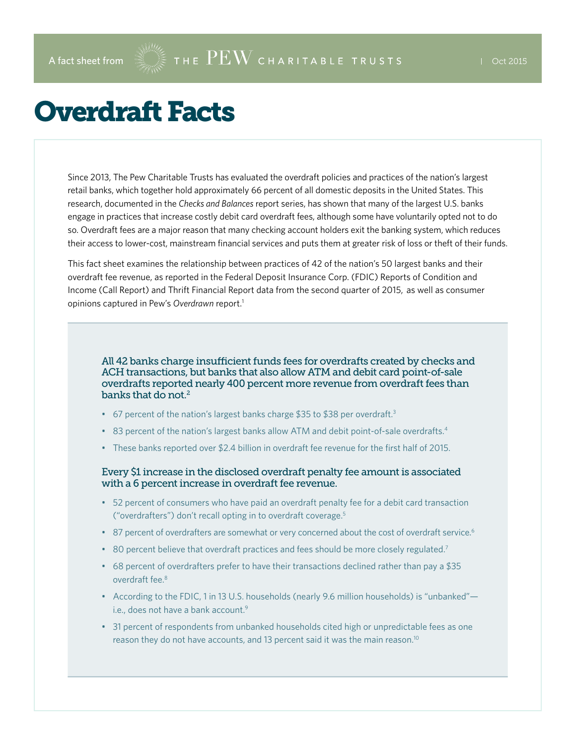## Overdraft Facts

Since 2013, The Pew Charitable Trusts has evaluated the overdraft policies and practices of the nation's largest retail banks, which together hold approximately 66 percent of all domestic deposits in the United States. This research, documented in the *Checks and Balances* report series, has shown that many of the largest U.S. banks engage in practices that increase costly debit card overdraft fees, although some have voluntarily opted not to do so. Overdraft fees are a major reason that many checking account holders exit the banking system, which reduces their access to lower-cost, mainstream financial services and puts them at greater risk of loss or theft of their funds.

This fact sheet examines the relationship between practices of 42 of the nation's 50 largest banks and their overdraft fee revenue, as reported in the Federal Deposit Insurance Corp. (FDIC) Reports of Condition and Income (Call Report) and Thrift Financial Report data from the second quarter of 2015, as well as consumer opinions captured in Pew's *Overdrawn* report.1

All 42 banks charge insufficient funds fees for overdrafts created by checks and ACH transactions, but banks that also allow ATM and debit card point-of-sale overdrafts reported nearly 400 percent more revenue from overdraft fees than banks that do not. $2$ 

- 67 percent of the nation's largest banks charge \$35 to \$38 per overdraft.<sup>3</sup>
- 83 percent of the nation's largest banks allow ATM and debit point-of-sale overdrafts.<sup>4</sup>
- These banks reported over \$2.4 billion in overdraft fee revenue for the first half of 2015.

## Every \$1 increase in the disclosed overdraft penalty fee amount is associated with a 6 percent increase in overdraft fee revenue.

- 52 percent of consumers who have paid an overdraft penalty fee for a debit card transaction ("overdrafters") don't recall opting in to overdraft coverage.5
- 87 percent of overdrafters are somewhat or very concerned about the cost of overdraft service.<sup>6</sup>
- 80 percent believe that overdraft practices and fees should be more closely regulated.<sup>7</sup>
- 68 percent of overdrafters prefer to have their transactions declined rather than pay a \$35 overdraft fee.8
- According to the FDIC, 1 in 13 U.S. households (nearly 9.6 million households) is "unbanked" i.e., does not have a bank account.<sup>9</sup>
- 31 percent of respondents from unbanked households cited high or unpredictable fees as one reason they do not have accounts, and 13 percent said it was the main reason.<sup>10</sup>